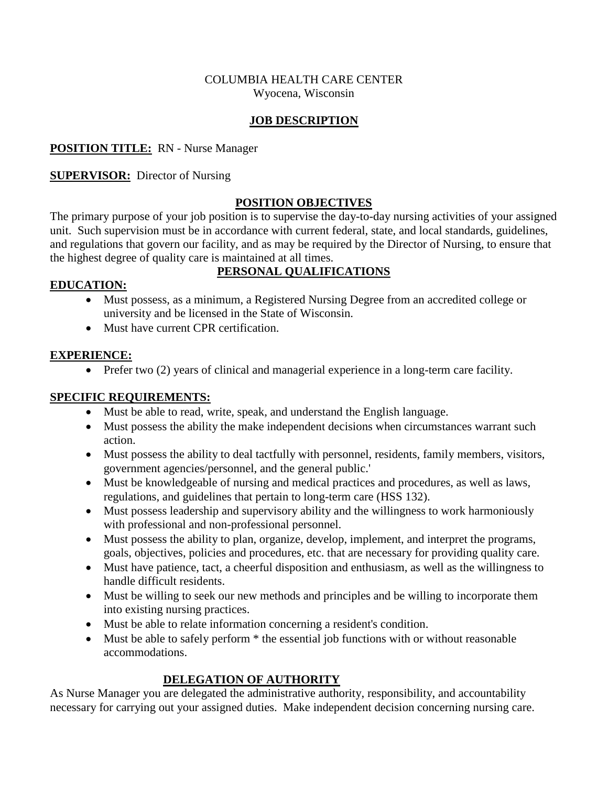#### COLUMBIA HEALTH CARE CENTER Wyocena, Wisconsin

#### **JOB DESCRIPTION**

#### **POSITION TITLE:** RN - Nurse Manager

#### **SUPERVISOR:** Director of Nursing

#### **POSITION OBJECTIVES**

The primary purpose of your job position is to supervise the day-to-day nursing activities of your assigned unit. Such supervision must be in accordance with current federal, state, and local standards, guidelines, and regulations that govern our facility, and as may be required by the Director of Nursing, to ensure that the highest degree of quality care is maintained at all times.

# **PERSONAL QUALIFICATIONS**

#### **EDUCATION:**

- Must possess, as a minimum, a Registered Nursing Degree from an accredited college or university and be licensed in the State of Wisconsin.
- Must have current CPR certification.

#### **EXPERIENCE:**

• Prefer two (2) years of clinical and managerial experience in a long-term care facility.

#### **SPECIFIC REQUIREMENTS:**

- Must be able to read, write, speak, and understand the English language.
- Must possess the ability the make independent decisions when circumstances warrant such action.
- Must possess the ability to deal tactfully with personnel, residents, family members, visitors, government agencies/personnel, and the general public.'
- Must be knowledgeable of nursing and medical practices and procedures, as well as laws, regulations, and guidelines that pertain to long-term care (HSS 132).
- Must possess leadership and supervisory ability and the willingness to work harmoniously with professional and non-professional personnel.
- Must possess the ability to plan, organize, develop, implement, and interpret the programs, goals, objectives, policies and procedures, etc. that are necessary for providing quality care.
- Must have patience, tact, a cheerful disposition and enthusiasm, as well as the willingness to handle difficult residents.
- Must be willing to seek our new methods and principles and be willing to incorporate them into existing nursing practices.
- Must be able to relate information concerning a resident's condition.
- Must be able to safely perform \* the essential job functions with or without reasonable accommodations.

### **DELEGATION OF AUTHORITY**

As Nurse Manager you are delegated the administrative authority, responsibility, and accountability necessary for carrying out your assigned duties. Make independent decision concerning nursing care.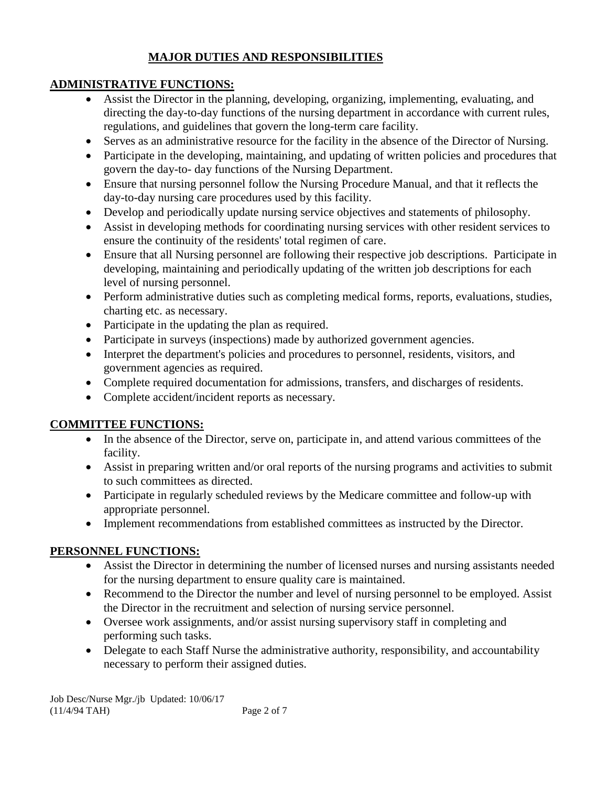## **MAJOR DUTIES AND RESPONSIBILITIES**

### **ADMINISTRATIVE FUNCTIONS:**

- Assist the Director in the planning, developing, organizing, implementing, evaluating, and directing the day-to-day functions of the nursing department in accordance with current rules, regulations, and guidelines that govern the long-term care facility.
- Serves as an administrative resource for the facility in the absence of the Director of Nursing.
- Participate in the developing, maintaining, and updating of written policies and procedures that govern the day-to- day functions of the Nursing Department.
- Ensure that nursing personnel follow the Nursing Procedure Manual, and that it reflects the day-to-day nursing care procedures used by this facility.
- Develop and periodically update nursing service objectives and statements of philosophy.
- Assist in developing methods for coordinating nursing services with other resident services to ensure the continuity of the residents' total regimen of care.
- Ensure that all Nursing personnel are following their respective job descriptions. Participate in developing, maintaining and periodically updating of the written job descriptions for each level of nursing personnel.
- Perform administrative duties such as completing medical forms, reports, evaluations, studies, charting etc. as necessary.
- Participate in the updating the plan as required.
- Participate in surveys (inspections) made by authorized government agencies.
- Interpret the department's policies and procedures to personnel, residents, visitors, and government agencies as required.
- Complete required documentation for admissions, transfers, and discharges of residents.
- Complete accident/incident reports as necessary.

# **COMMITTEE FUNCTIONS:**

- In the absence of the Director, serve on, participate in, and attend various committees of the facility.
- Assist in preparing written and/or oral reports of the nursing programs and activities to submit to such committees as directed.
- Participate in regularly scheduled reviews by the Medicare committee and follow-up with appropriate personnel.
- Implement recommendations from established committees as instructed by the Director.

# **PERSONNEL FUNCTIONS:**

- Assist the Director in determining the number of licensed nurses and nursing assistants needed for the nursing department to ensure quality care is maintained.
- Recommend to the Director the number and level of nursing personnel to be employed. Assist the Director in the recruitment and selection of nursing service personnel.
- Oversee work assignments, and/or assist nursing supervisory staff in completing and performing such tasks.
- Delegate to each Staff Nurse the administrative authority, responsibility, and accountability necessary to perform their assigned duties.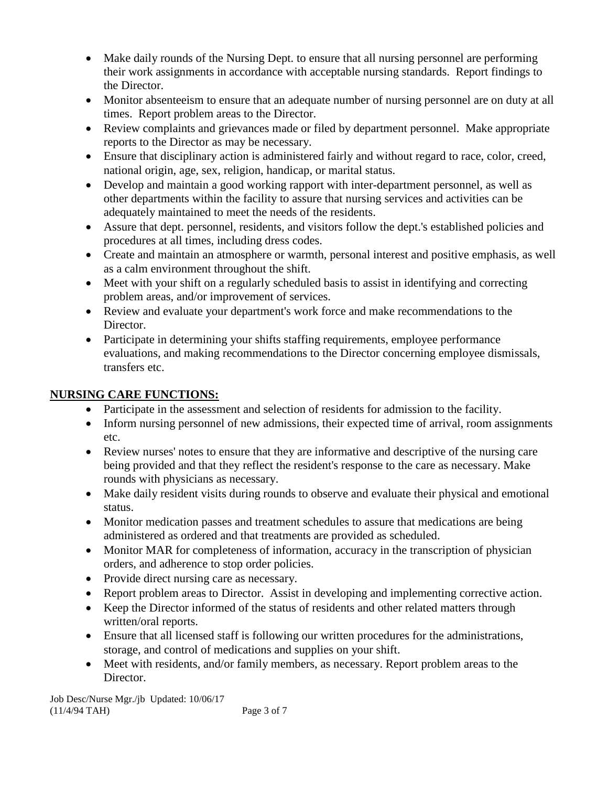- Make daily rounds of the Nursing Dept. to ensure that all nursing personnel are performing their work assignments in accordance with acceptable nursing standards. Report findings to the Director.
- Monitor absenteeism to ensure that an adequate number of nursing personnel are on duty at all times. Report problem areas to the Director.
- Review complaints and grievances made or filed by department personnel. Make appropriate reports to the Director as may be necessary.
- Ensure that disciplinary action is administered fairly and without regard to race, color, creed, national origin, age, sex, religion, handicap, or marital status.
- Develop and maintain a good working rapport with inter-department personnel, as well as other departments within the facility to assure that nursing services and activities can be adequately maintained to meet the needs of the residents.
- Assure that dept. personnel, residents, and visitors follow the dept.'s established policies and procedures at all times, including dress codes.
- Create and maintain an atmosphere or warmth, personal interest and positive emphasis, as well as a calm environment throughout the shift.
- Meet with your shift on a regularly scheduled basis to assist in identifying and correcting problem areas, and/or improvement of services.
- Review and evaluate your department's work force and make recommendations to the Director.
- Participate in determining your shifts staffing requirements, employee performance evaluations, and making recommendations to the Director concerning employee dismissals, transfers etc.

### **NURSING CARE FUNCTIONS:**

- Participate in the assessment and selection of residents for admission to the facility.
- Inform nursing personnel of new admissions, their expected time of arrival, room assignments etc.
- Review nurses' notes to ensure that they are informative and descriptive of the nursing care being provided and that they reflect the resident's response to the care as necessary. Make rounds with physicians as necessary.
- Make daily resident visits during rounds to observe and evaluate their physical and emotional status.
- Monitor medication passes and treatment schedules to assure that medications are being administered as ordered and that treatments are provided as scheduled.
- Monitor MAR for completeness of information, accuracy in the transcription of physician orders, and adherence to stop order policies.
- Provide direct nursing care as necessary.
- Report problem areas to Director. Assist in developing and implementing corrective action.
- Keep the Director informed of the status of residents and other related matters through written/oral reports.
- Ensure that all licensed staff is following our written procedures for the administrations, storage, and control of medications and supplies on your shift.
- Meet with residents, and/or family members, as necessary. Report problem areas to the Director.

Job Desc/Nurse Mgr./jb Updated: 10/06/17 (11/4/94 TAH) Page 3 of 7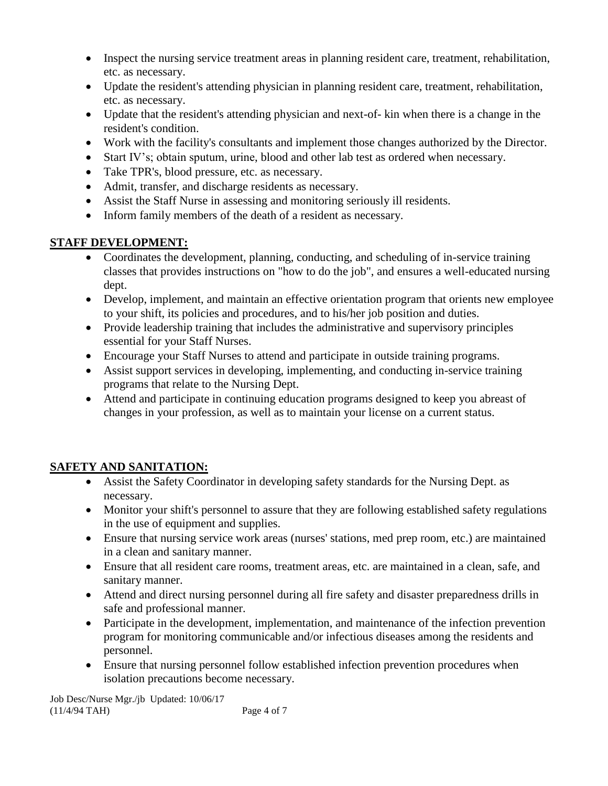- Inspect the nursing service treatment areas in planning resident care, treatment, rehabilitation, etc. as necessary.
- Update the resident's attending physician in planning resident care, treatment, rehabilitation, etc. as necessary.
- Update that the resident's attending physician and next-of- kin when there is a change in the resident's condition.
- Work with the facility's consultants and implement those changes authorized by the Director.
- Start IV's; obtain sputum, urine, blood and other lab test as ordered when necessary.
- Take TPR's, blood pressure, etc. as necessary.
- Admit, transfer, and discharge residents as necessary.
- Assist the Staff Nurse in assessing and monitoring seriously ill residents.
- Inform family members of the death of a resident as necessary.

### **STAFF DEVELOPMENT:**

- Coordinates the development, planning, conducting, and scheduling of in-service training classes that provides instructions on "how to do the job", and ensures a well-educated nursing dept.
- Develop, implement, and maintain an effective orientation program that orients new employee to your shift, its policies and procedures, and to his/her job position and duties.
- Provide leadership training that includes the administrative and supervisory principles essential for your Staff Nurses.
- Encourage your Staff Nurses to attend and participate in outside training programs.
- Assist support services in developing, implementing, and conducting in-service training programs that relate to the Nursing Dept.
- Attend and participate in continuing education programs designed to keep you abreast of changes in your profession, as well as to maintain your license on a current status.

# **SAFETY AND SANITATION:**

- Assist the Safety Coordinator in developing safety standards for the Nursing Dept. as necessary.
- Monitor your shift's personnel to assure that they are following established safety regulations in the use of equipment and supplies.
- Ensure that nursing service work areas (nurses' stations, med prep room, etc.) are maintained in a clean and sanitary manner.
- Ensure that all resident care rooms, treatment areas, etc. are maintained in a clean, safe, and sanitary manner.
- Attend and direct nursing personnel during all fire safety and disaster preparedness drills in safe and professional manner.
- Participate in the development, implementation, and maintenance of the infection prevention program for monitoring communicable and/or infectious diseases among the residents and personnel.
- Ensure that nursing personnel follow established infection prevention procedures when isolation precautions become necessary.

Job Desc/Nurse Mgr./jb Updated: 10/06/17 (11/4/94 TAH) Page 4 of 7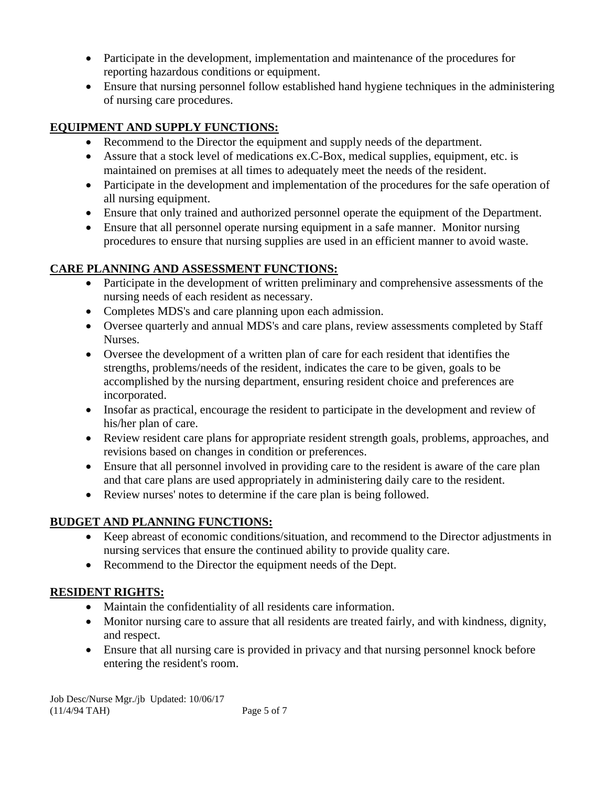- Participate in the development, implementation and maintenance of the procedures for reporting hazardous conditions or equipment.
- Ensure that nursing personnel follow established hand hygiene techniques in the administering of nursing care procedures.

# **EQUIPMENT AND SUPPLY FUNCTIONS:**

- Recommend to the Director the equipment and supply needs of the department.
- Assure that a stock level of medications ex.C-Box, medical supplies, equipment, etc. is maintained on premises at all times to adequately meet the needs of the resident.
- Participate in the development and implementation of the procedures for the safe operation of all nursing equipment.
- Ensure that only trained and authorized personnel operate the equipment of the Department.
- Ensure that all personnel operate nursing equipment in a safe manner. Monitor nursing procedures to ensure that nursing supplies are used in an efficient manner to avoid waste.

# **CARE PLANNING AND ASSESSMENT FUNCTIONS:**

- Participate in the development of written preliminary and comprehensive assessments of the nursing needs of each resident as necessary.
- Completes MDS's and care planning upon each admission.
- Oversee quarterly and annual MDS's and care plans, review assessments completed by Staff Nurses.
- Oversee the development of a written plan of care for each resident that identifies the strengths, problems/needs of the resident, indicates the care to be given, goals to be accomplished by the nursing department, ensuring resident choice and preferences are incorporated.
- Insofar as practical, encourage the resident to participate in the development and review of his/her plan of care.
- Review resident care plans for appropriate resident strength goals, problems, approaches, and revisions based on changes in condition or preferences.
- Ensure that all personnel involved in providing care to the resident is aware of the care plan and that care plans are used appropriately in administering daily care to the resident.
- Review nurses' notes to determine if the care plan is being followed.

# **BUDGET AND PLANNING FUNCTIONS:**

- Keep abreast of economic conditions/situation, and recommend to the Director adjustments in nursing services that ensure the continued ability to provide quality care.
- Recommend to the Director the equipment needs of the Dept.

# **RESIDENT RIGHTS:**

- Maintain the confidentiality of all residents care information.
- Monitor nursing care to assure that all residents are treated fairly, and with kindness, dignity, and respect.
- Ensure that all nursing care is provided in privacy and that nursing personnel knock before entering the resident's room.

Job Desc/Nurse Mgr./jb Updated: 10/06/17 (11/4/94 TAH) Page 5 of 7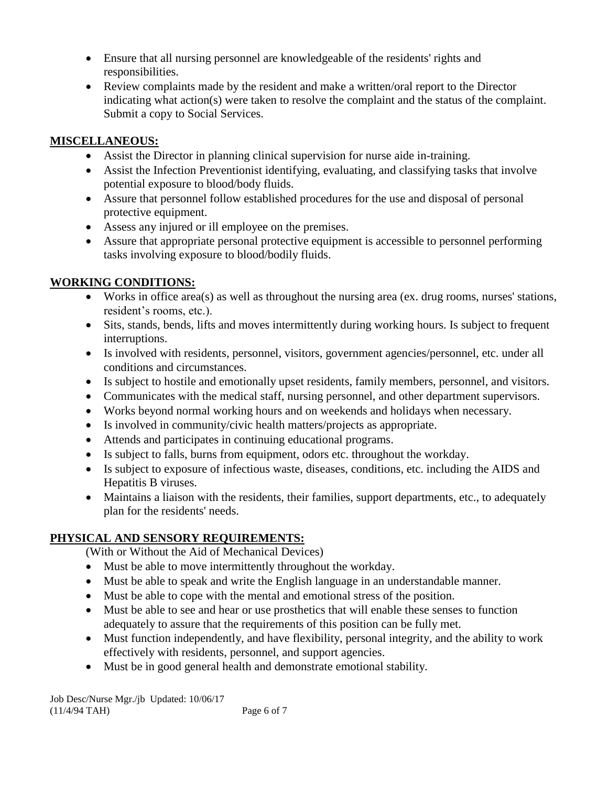- Ensure that all nursing personnel are knowledgeable of the residents' rights and responsibilities.
- Review complaints made by the resident and make a written/oral report to the Director indicating what action(s) were taken to resolve the complaint and the status of the complaint. Submit a copy to Social Services.

## **MISCELLANEOUS:**

- Assist the Director in planning clinical supervision for nurse aide in-training.
- Assist the Infection Preventionist identifying, evaluating, and classifying tasks that involve potential exposure to blood/body fluids.
- Assure that personnel follow established procedures for the use and disposal of personal protective equipment.
- Assess any injured or ill employee on the premises.
- Assure that appropriate personal protective equipment is accessible to personnel performing tasks involving exposure to blood/bodily fluids.

### **WORKING CONDITIONS:**

- Works in office area(s) as well as throughout the nursing area (ex. drug rooms, nurses' stations, resident's rooms, etc.).
- Sits, stands, bends, lifts and moves intermittently during working hours. Is subject to frequent interruptions.
- Is involved with residents, personnel, visitors, government agencies/personnel, etc. under all conditions and circumstances.
- Is subject to hostile and emotionally upset residents, family members, personnel, and visitors.
- Communicates with the medical staff, nursing personnel, and other department supervisors.
- Works beyond normal working hours and on weekends and holidays when necessary.
- Is involved in community/civic health matters/projects as appropriate.
- Attends and participates in continuing educational programs.
- Is subject to falls, burns from equipment, odors etc. throughout the workday.
- Is subject to exposure of infectious waste, diseases, conditions, etc. including the AIDS and Hepatitis B viruses.
- Maintains a liaison with the residents, their families, support departments, etc., to adequately plan for the residents' needs.

# **PHYSICAL AND SENSORY REQUIREMENTS:**

(With or Without the Aid of Mechanical Devices)

- Must be able to move intermittently throughout the workday.
- Must be able to speak and write the English language in an understandable manner.
- Must be able to cope with the mental and emotional stress of the position.
- Must be able to see and hear or use prosthetics that will enable these senses to function adequately to assure that the requirements of this position can be fully met.
- Must function independently, and have flexibility, personal integrity, and the ability to work effectively with residents, personnel, and support agencies.
- Must be in good general health and demonstrate emotional stability.